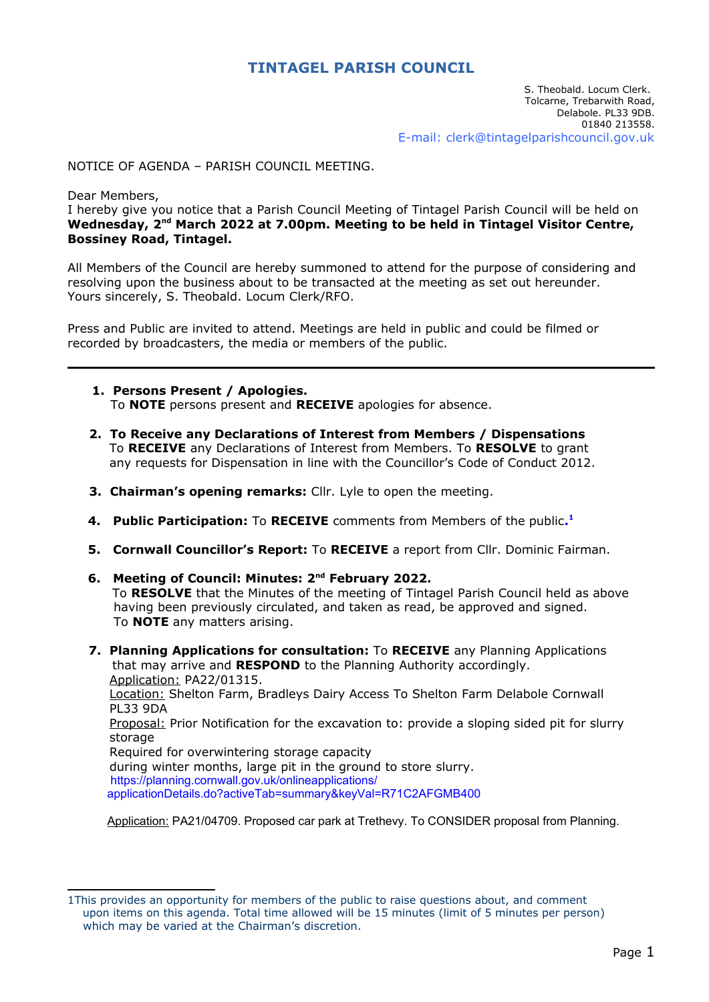## **TINTAGEL PARISH COUNCIL**

## NOTICE OF AGENDA – PARISH COUNCIL MEETING.

Dear Members,

I hereby give you notice that a Parish Council Meeting of Tintagel Parish Council will be held on **Wednesday, 2nd March 2022 at 7.00pm. Meeting to be held in Tintagel Visitor Centre, Bossiney Road, Tintagel.**

All Members of the Council are hereby summoned to attend for the purpose of considering and resolving upon the business about to be transacted at the meeting as set out hereunder. Yours sincerely, S. Theobald. Locum Clerk/RFO.

Press and Public are invited to attend. Meetings are held in public and could be filmed or recorded by broadcasters, the media or members of the public.

- **1. Persons Present / Apologies.** To **NOTE** persons present and **RECEIVE** apologies for absence.
- **2. To Receive any Declarations of Interest from Members / Dispensations** To **RECEIVE** any Declarations of Interest from Members. To **RESOLVE** to grant any requests for Dispensation in line with the Councillor's Code of Conduct 2012.
- <span id="page-0-0"></span>**3. Chairman's opening remarks:** Cllr. Lyle to open the meeting.
- **4. Public Participation:** To **RECEIVE** comments from Members of the public**. [1](#page-0-1)**
	- **5. Cornwall Councillor's Report:** To **RECEIVE** a report from Cllr. Dominic Fairman.
	- **6. Meeting of Council: Minutes: 2nd February 2022.** To **RESOLVE** that the Minutes of the meeting of Tintagel Parish Council held as above having been previously circulated, and taken as read, be approved and signed. To **NOTE** any matters arising.
	- **7. Planning Applications for consultation:** To **RECEIVE** any Planning Applications that may arrive and **RESPOND** to the Planning Authority accordingly. Application: PA22/01315. Location: Shelton Farm, Bradleys Dairy Access To Shelton Farm Delabole Cornwall PL33 9DA Proposal: Prior Notification for the excavation to: provide a sloping sided pit for slurry storage Required for overwintering storage capacity during winter months, large pit in the ground to store slurry. https://planning.cornwall.gov.uk/onlineapplications/ applicationDetails.do?activeTab=summary&keyVal=R71C2AFGMB400

Application: PA21/04709. Proposed car park at Trethevy. To CONSIDER proposal from Planning.

<span id="page-0-1"></span>[<sup>1</sup>](#page-0-0)This provides an opportunity for members of the public to raise questions about, and comment upon items on this agenda. Total time allowed will be 15 minutes (limit of 5 minutes per person) which may be varied at the Chairman's discretion.